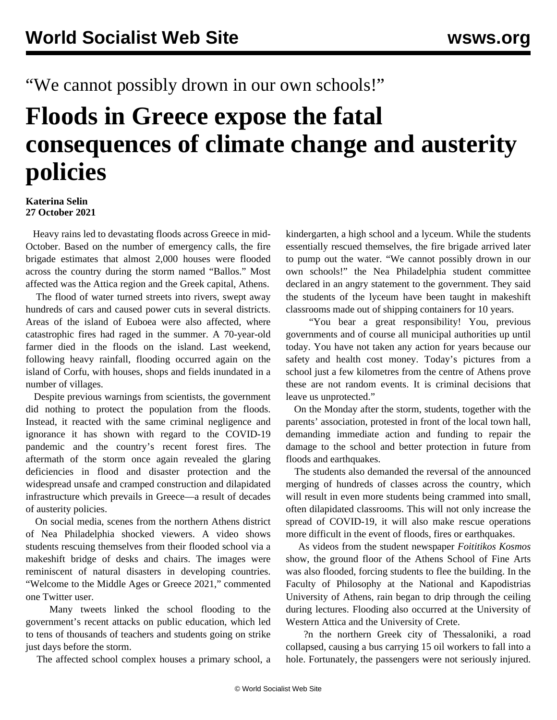## "We cannot possibly drown in our own schools!"

## **Floods in Greece expose the fatal consequences of climate change and austerity policies**

## **Katerina Selin 27 October 2021**

 Heavy rains led to devastating floods across Greece in mid-October. Based on the number of emergency calls, the fire brigade estimates that almost 2,000 houses were flooded across the country during the storm named "Ballos." Most affected was the Attica region and the Greek capital, Athens.

 The flood of water turned streets into rivers, swept away hundreds of cars and caused power cuts in several districts. Areas of the island of Euboea were also affected, where catastrophic fires had raged in the summer. A 70-year-old farmer died in the floods on the island. Last weekend, following heavy rainfall, flooding occurred again on the island of Corfu, with houses, shops and fields inundated in a number of villages.

 Despite previous warnings from scientists, the government did nothing to protect the population from the floods. Instead, it reacted with the same criminal negligence and ignorance it has shown with regard to the COVID-19 pandemic and the country's recent forest fires. The aftermath of the storm once again revealed the glaring deficiencies in flood and disaster protection and the widespread unsafe and cramped construction and dilapidated infrastructure which prevails in Greece—a result of decades of austerity policies.

 On social media, scenes from the northern Athens district of Nea Philadelphia shocked viewers. A video shows students rescuing themselves from their flooded school via a makeshift bridge of desks and chairs. The images were reminiscent of natural disasters in developing countries. "Welcome to the Middle Ages or Greece 2021," commented one Twitter user.

 Many tweets linked the school flooding to the government's recent attacks on public education, which led to tens of thousands of teachers and students going on [strike](/en/articles/2021/10/14/gree-o14.html) just days before the storm.

The affected school complex houses a primary school, a

kindergarten, a high school and a lyceum. While the students essentially rescued themselves, the fire brigade arrived later to pump out the water. "We cannot possibly drown in our own schools!" the Nea Philadelphia student committee declared in an angry statement to the government. They said the students of the lyceum have been taught in makeshift classrooms made out of shipping containers for 10 years.

 "You bear a great responsibility! You, previous governments and of course all municipal authorities up until today. You have not taken any action for years because our safety and health cost money. Today's pictures from a school just a few kilometres from the centre of Athens prove these are not random events. It is criminal decisions that leave us unprotected."

 On the Monday after the storm, students, together with the parents' association, protested in front of the local town hall, demanding immediate action and funding to repair the damage to the school and better protection in future from floods and earthquakes.

 The students also demanded the reversal of the announced merging of hundreds of classes across the country, which will result in even more students being crammed into small, often dilapidated classrooms. This will not only increase the spread of COVID-19, it will also make rescue operations more difficult in the event of floods, fires or earthquakes.

 As [videos](https://twitter.com/foitkosmos2018/status/1448608172999122949) from the student newspaper *Foititikos Kosmos* show, the ground floor of the Athens School of Fine Arts was also flooded, forcing students to flee the building. In the Faculty of Philosophy at the National and Kapodistrias University of Athens, rain began to drip through the ceiling during lectures. Flooding also occurred at the University of Western Attica and the University of Crete.

 ?n the northern Greek city of Thessaloniki, a road collapsed, causing a bus carrying 15 oil workers to fall into a hole. Fortunately, the passengers were not seriously injured.